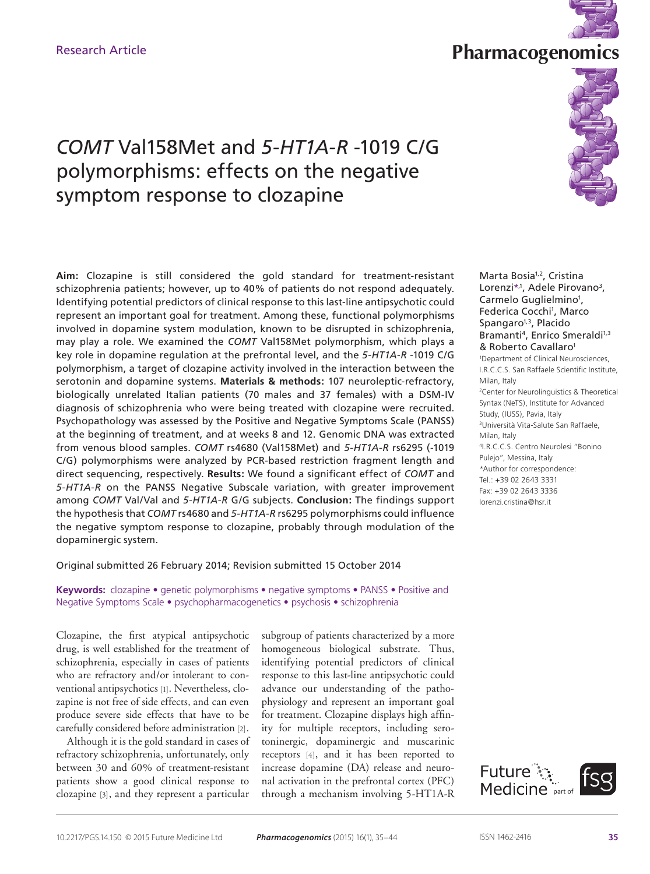

# **Research Article Research Article Research Article Research Article Research Article**



# *COMT* Val158Met and *5-HT1A-R* -1019 C/G polymorphisms: effects on the negative symptom response to clozapine

**Aim:** Clozapine is still considered the gold standard for treatment-resistant schizophrenia patients; however, up to 40% of patients do not respond adequately. Identifying potential predictors of clinical response to this last-line antipsychotic could represent an important goal for treatment. Among these, functional polymorphisms involved in dopamine system modulation, known to be disrupted in schizophrenia, may play a role. We examined the *COMT* Val158Met polymorphism, which plays a key role in dopamine regulation at the prefrontal level, and the *5-HT1A-R* -1019 C/G polymorphism, a target of clozapine activity involved in the interaction between the serotonin and dopamine systems. **Materials & methods:** 107 neuroleptic-refractory, biologically unrelated Italian patients (70 males and 37 females) with a DSM-IV diagnosis of schizophrenia who were being treated with clozapine were recruited. Psychopathology was assessed by the Positive and Negative Symptoms Scale (PANSS) at the beginning of treatment, and at weeks 8 and 12. Genomic DNA was extracted from venous blood samples. *COMT* rs4680 (Val158Met) and *5-HT1A-R* rs6295 (-1019 C/G) polymorphisms were analyzed by PCR-based restriction fragment length and direct sequencing, respectively. **Results:** We found a significant effect of *COMT* and *5-HT1A-R* on the PANSS Negative Subscale variation, with greater improvement among *COMT* Val/Val and *5-HT1A-R* G/G subjects. **Conclusion:** The findings support the hypothesis that *COMT* rs4680 and *5-HT1A-R* rs6295 polymorphisms could influence the negative symptom response to clozapine, probably through modulation of the dopaminergic system.

# Original submitted 26 February 2014; Revision submitted 15 October 2014

**Keywords:** clozapine • genetic polymorphisms • negative symptoms • PANSS • Positive and Negative Symptoms Scale • psychopharmacogenetics • psychosis • schizophrenia

Clozapine, the first atypical antipsychotic drug, is well established for the treatment of schizophrenia, especially in cases of patients who are refractory and/or intolerant to conventional antipsychotics [1]. Nevertheless, clozapine is not free of side effects, and can even produce severe side effects that have to be carefully considered before administration [2].

Although it is the gold standard in cases of refractory schizophrenia, unfortunately, only between 30 and 60% of treatment-resistant patients show a good clinical response to clozapine [3], and they represent a particular

subgroup of patients characterized by a more homogeneous biological substrate. Thus, identifying potential predictors of clinical response to this last-line antipsychotic could advance our understanding of the pathophysiology and represent an important goal for treatment. Clozapine displays high affinity for multiple receptors, including serotoninergic, dopaminergic and muscarinic receptors [4], and it has been reported to increase dopamine (DA) release and neuronal activation in the prefrontal cortex (PFC) through a mechanism involving 5-HT1A-R

Marta Bosia<sup>1,2</sup>, Cristina Lorenzi\*<sup>,1</sup>, Adele Pirovano<sup>3</sup>, Carmelo Guglielmino<sup>1</sup>, Federica Cocchi<sup>1</sup>, Marco Spangaro<sup>1,3</sup>, Placido Bramanti<sup>4</sup>, Enrico Smeraldi<sup>1,3</sup> & Roberto Cavallaro<sup>1</sup> 1 Department of Clinical Neurosciences, I.R.C.C.S. San Raffaele Scientific Institute, Milan, Italy 2 Center for Neurolinguistics & Theoretical Syntax (NeTS), Institute for Advanced Study, (IUSS), Pavia, Italy <sup>3</sup>Università Vita-Salute San Raffaele, Milan, Italy <sup>4</sup>I.R.C.C.S. Centro Neurolesi "Bonino Pulejo", Messina, Italy \*Author for correspondence: Tel.: +39 02 2643 3331 Fax: +39 02 2643 3336 lorenzi.cristina@hsr.it

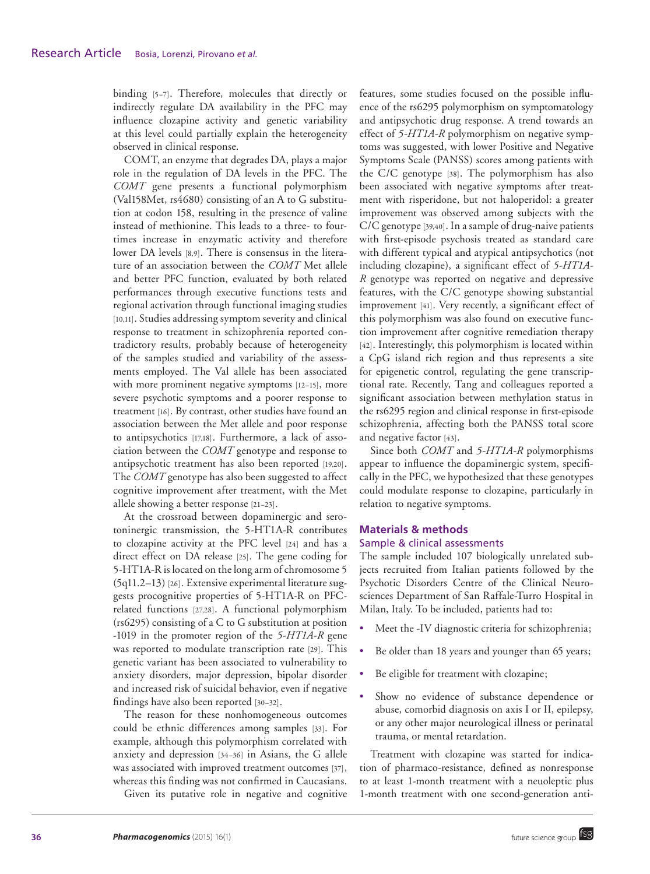binding [5–7]. Therefore, molecules that directly or indirectly regulate DA availability in the PFC may influence clozapine activity and genetic variability at this level could partially explain the heterogeneity observed in clinical response.

COMT, an enzyme that degrades DA, plays a major role in the regulation of DA levels in the PFC. The *COMT* gene presents a functional polymorphism (Val158Met, rs4680) consisting of an A to G substitution at codon 158, resulting in the presence of valine instead of methionine. This leads to a three- to fourtimes increase in enzymatic activity and therefore lower DA levels [8,9]. There is consensus in the literature of an association between the *COMT* Met allele and better PFC function, evaluated by both related performances through executive functions tests and regional activation through functional imaging studies [10,11]. Studies addressing symptom severity and clinical response to treatment in schizophrenia reported contradictory results, probably because of heterogeneity of the samples studied and variability of the assessments employed. The Val allele has been associated with more prominent negative symptoms [12–15], more severe psychotic symptoms and a poorer response to treatment [16]. By contrast, other studies have found an association between the Met allele and poor response to antipsychotics [17,18]. Furthermore, a lack of association between the *COMT* genotype and response to antipsychotic treatment has also been reported [19,20]. The *COMT* genotype has also been suggested to affect cognitive improvement after treatment, with the Met allele showing a better response [21–23].

At the crossroad between dopaminergic and serotoninergic transmission, the 5-HT1A-R contributes to clozapine activity at the PFC level [24] and has a direct effect on DA release [25]. The gene coding for 5-HT1A-R is located on the long arm of chromosome 5 (5q11.2–13) [26]. Extensive experimental literature suggests procognitive properties of 5-HT1A-R on PFCrelated functions [27,28]. A functional polymorphism (rs6295) consisting of a C to G substitution at position -1019 in the promoter region of the *5-HT1A-R* gene was reported to modulate transcription rate [29]. This genetic variant has been associated to vulnerability to anxiety disorders, major depression, bipolar disorder and increased risk of suicidal behavior, even if negative findings have also been reported [30–32].

The reason for these nonhomogeneous outcomes could be ethnic differences among samples [33]. For example, although this polymorphism correlated with anxiety and depression [34–36] in Asians, the G allele was associated with improved treatment outcomes [37], whereas this finding was not confirmed in Caucasians.

Given its putative role in negative and cognitive

features, some studies focused on the possible influence of the rs6295 polymorphism on symptomatology and antipsychotic drug response. A trend towards an effect of *5-HT1A-R* polymorphism on negative symptoms was suggested, with lower Positive and Negative Symptoms Scale (PANSS) scores among patients with the C/C genotype [38]. The polymorphism has also been associated with negative symptoms after treatment with risperidone, but not haloperidol: a greater improvement was observed among subjects with the C/C genotype [39,40]. In a sample of drug-naive patients with first-episode psychosis treated as standard care with different typical and atypical antipsychotics (not including clozapine), a significant effect of *5-HT1A-R* genotype was reported on negative and depressive features, with the C/C genotype showing substantial improvement [41]. Very recently, a significant effect of this polymorphism was also found on executive function improvement after cognitive remediation therapy [42]. Interestingly, this polymorphism is located within a CpG island rich region and thus represents a site for epigenetic control, regulating the gene transcriptional rate. Recently, Tang and colleagues reported a significant association between methylation status in the rs6295 region and clinical response in first-episode schizophrenia, affecting both the PANSS total score and negative factor [43].

Since both *COMT* and *5-HT1A-R* polymorphisms appear to influence the dopaminergic system, specifically in the PFC, we hypothesized that these genotypes could modulate response to clozapine, particularly in relation to negative symptoms.

# **Materials & methods**

# Sample & clinical assessments

The sample included 107 biologically unrelated subjects recruited from Italian patients followed by the Psychotic Disorders Centre of the Clinical Neurosciences Department of San Raffale-Turro Hospital in Milan, Italy. To be included, patients had to:

- Meet the -IV diagnostic criteria for schizophrenia;
- Be older than 18 years and younger than 65 years;
- Be eligible for treatment with clozapine;
- Show no evidence of substance dependence or abuse, comorbid diagnosis on axis I or II, epilepsy, or any other major neurological illness or perinatal trauma, or mental retardation.

Treatment with clozapine was started for indication of pharmaco-resistance, defined as nonresponse to at least 1-month treatment with a neuoleptic plus 1-month treatment with one second-generation anti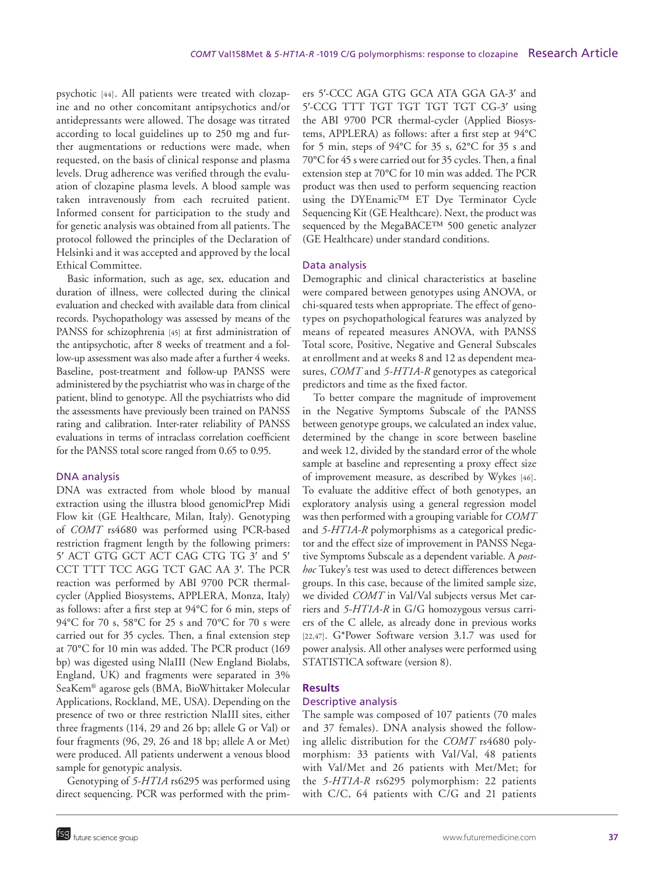psychotic [44]. All patients were treated with clozapine and no other concomitant antipsychotics and/or antidepressants were allowed. The dosage was titrated according to local guidelines up to 250 mg and further augmentations or reductions were made, when requested, on the basis of clinical response and plasma levels. Drug adherence was verified through the evaluation of clozapine plasma levels. A blood sample was taken intravenously from each recruited patient. Informed consent for participation to the study and for genetic analysis was obtained from all patients. The protocol followed the principles of the Declaration of Helsinki and it was accepted and approved by the local Ethical Committee.

Basic information, such as age, sex, education and duration of illness, were collected during the clinical evaluation and checked with available data from clinical records. Psychopathology was assessed by means of the PANSS for schizophrenia [45] at first administration of the antipsychotic, after 8 weeks of treatment and a follow-up assessment was also made after a further 4 weeks. Baseline, post-treatment and follow-up PANSS were administered by the psychiatrist who was in charge of the patient, blind to genotype. All the psychiatrists who did the assessments have previously been trained on PANSS rating and calibration. Inter-rater reliability of PANSS evaluations in terms of intraclass correlation coefficient for the PANSS total score ranged from 0.65 to 0.95.

# DNA analysis

DNA was extracted from whole blood by manual extraction using the illustra blood genomicPrep Midi Flow kit (GE Healthcare, Milan, Italy). Genotyping of *COMT* rs4680 was performed using PCR-based restriction fragment length by the following primers: 5′ ACT GTG GCT ACT CAG CTG TG 3′ and 5′ CCT TTT TCC AGG TCT GAC AA 3′. The PCR reaction was performed by ABI 9700 PCR thermalcycler (Applied Biosystems, APPLERA, Monza, Italy) as follows: after a first step at 94°C for 6 min, steps of 94°C for 70 s, 58°C for 25 s and 70°C for 70 s were carried out for 35 cycles. Then, a final extension step at 70°C for 10 min was added. The PCR product (169 bp) was digested using NlaIII (New England Biolabs, England, UK) and fragments were separated in 3% SeaKem® agarose gels (BMA, BioWhittaker Molecular Applications, Rockland, ME, USA). Depending on the presence of two or three restriction NlaIII sites, either three fragments (114, 29 and 26 bp; allele G or Val) or four fragments (96, 29, 26 and 18 bp; allele A or Met) were produced. All patients underwent a venous blood sample for genotypic analysis.

Genotyping of *5-HT1A* rs6295 was performed using direct sequencing. PCR was performed with the primers 5′-CCC AGA GTG GCA ATA GGA GA-3′ and 5′-CCG TTT TGT TGT TGT TGT CG-3′ using the ABI 9700 PCR thermal-cycler (Applied Biosystems, APPLERA) as follows: after a first step at 94°C for 5 min, steps of 94°C for 35 s, 62°C for 35 s and 70°C for 45 s were carried out for 35 cycles. Then, a final extension step at 70°C for 10 min was added. The PCR product was then used to perform sequencing reaction using the DYEnamic™ ET Dye Terminator Cycle Sequencing Kit (GE Healthcare). Next, the product was sequenced by the MegaBACE™ 500 genetic analyzer (GE Healthcare) under standard conditions.

# Data analysis

Demographic and clinical characteristics at baseline were compared between genotypes using ANOVA, or chi-squared tests when appropriate. The effect of genotypes on psychopathological features was analyzed by means of repeated measures ANOVA, with PANSS Total score, Positive, Negative and General Subscales at enrollment and at weeks 8 and 12 as dependent measures, *COMT* and *5-HT1A-R* genotypes as categorical predictors and time as the fixed factor.

To better compare the magnitude of improvement in the Negative Symptoms Subscale of the PANSS between genotype groups, we calculated an index value, determined by the change in score between baseline and week 12, divided by the standard error of the whole sample at baseline and representing a proxy effect size of improvement measure, as described by Wykes [46]. To evaluate the additive effect of both genotypes, an exploratory analysis using a general regression model was then performed with a grouping variable for *COMT* and *5-HT1A-R* polymorphisms as a categorical predictor and the effect size of improvement in PANSS Negative Symptoms Subscale as a dependent variable. A *posthoc* Tukey's test was used to detect differences between groups. In this case, because of the limited sample size, we divided *COMT* in Val/Val subjects versus Met carriers and *5-HT1A-R* in G/G homozygous versus carriers of the C allele, as already done in previous works [22,47]. G\*Power Software version 3.1.7 was used for power analysis. All other analyses were performed using STATISTICA software (version 8).

#### **Results**

#### Descriptive analysis

The sample was composed of 107 patients (70 males and 37 females). DNA analysis showed the following allelic distribution for the *COMT* rs4680 polymorphism: 33 patients with Val/Val, 48 patients with Val/Met and 26 patients with Met/Met; for the *5-HT1A-R* rs6295 polymorphism: 22 patients with C/C, 64 patients with C/G and 21 patients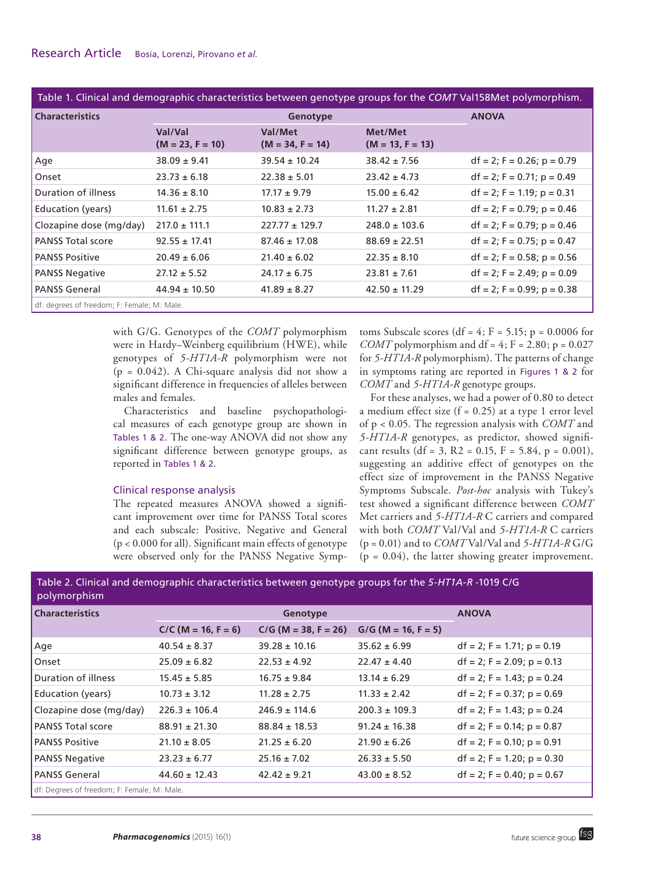Table 1. Clinical and demographic characteristics between genotype groups for the *COMT* Val158Met polymorphism.

| <b>Characteristics</b>                      | Genotype                      |                               |                               | <b>ANOVA</b>                  |  |  |
|---------------------------------------------|-------------------------------|-------------------------------|-------------------------------|-------------------------------|--|--|
|                                             | Val/Val<br>$(M = 23, F = 10)$ | Val/Met<br>$(M = 34, F = 14)$ | Met/Met<br>$(M = 13, F = 13)$ |                               |  |  |
| Aqe                                         | $38.09 \pm 9.41$              | $39.54 \pm 10.24$             | $38.42 \pm 7.56$              | $df = 2$ ; F = 0.26; p = 0.79 |  |  |
| Onset                                       | $23.73 \pm 6.18$              | $22.38 \pm 5.01$              | $23.42 \pm 4.73$              | $df = 2$ ; F = 0.71; p = 0.49 |  |  |
| Duration of illness                         | $14.36 \pm 8.10$              | $17.17 \pm 9.79$              | $15.00 \pm 6.42$              | $df = 2$ ; F = 1.19; p = 0.31 |  |  |
| <b>Education (years)</b>                    | $11.61 \pm 2.75$              | $10.83 \pm 2.73$              | $11.27 \pm 2.81$              | $df = 2$ ; F = 0.79; p = 0.46 |  |  |
| Clozapine dose (mg/day)                     | $217.0 \pm 111.1$             | $227.77 \pm 129.7$            | $248.0 \pm 103.6$             | $df = 2$ ; F = 0.79; p = 0.46 |  |  |
| <b>PANSS Total score</b>                    | $92.55 \pm 17.41$             | $87.46 \pm 17.08$             | $88.69 \pm 22.51$             | $df = 2$ ; F = 0.75; p = 0.47 |  |  |
| <b>PANSS Positive</b>                       | $20.49 \pm 6.06$              | $21.40 \pm 6.02$              | $22.35 \pm 8.10$              | $df = 2$ ; F = 0.58; p = 0.56 |  |  |
| <b>PANSS Negative</b>                       | $27.12 \pm 5.52$              | $24.17 \pm 6.75$              | $23.81 \pm 7.61$              | $df = 2$ ; F = 2.49; p = 0.09 |  |  |
| <b>PANSS General</b>                        | $44.94 \pm 10.50$             | $41.89 \pm 8.27$              | $42.50 \pm 11.29$             | $df = 2$ ; F = 0.99; p = 0.38 |  |  |
| df: degrees of freedom; F: Female; M: Male. |                               |                               |                               |                               |  |  |

with G/G. Genotypes of the *COMT* polymorphism were in Hardy–Weinberg equilibrium (HWE), while genotypes of *5-HT1A-R* polymorphism were not  $(p = 0.042)$ . A Chi-square analysis did not show a significant difference in frequencies of alleles between males and females.

Characteristics and baseline psychopathological measures of each genotype group are shown in Tables 1 & 2. The one-way ANOVA did not show any significant difference between genotype groups, as reported in Tables 1 & 2.

# Clinical response analysis

The repeated measures ANOVA showed a significant improvement over time for PANSS Total scores and each subscale: Positive, Negative and General (p < 0.000 for all). Significant main effects of genotype were observed only for the PANSS Negative Symptoms Subscale scores (df =  $4$ ; F = 5.15; p = 0.0006 for *COMT* polymorphism and df = 4;  $F = 2.80$ ;  $p = 0.027$ for *5-HT1A-R* polymorphism). The patterns of change in symptoms rating are reported in Figures 1 & 2 for *COMT* and *5-HT1A-R* genotype groups.

For these analyses, we had a power of 0.80 to detect a medium effect size  $(f = 0.25)$  at a type 1 error level of p < 0.05. The regression analysis with *COMT* and *5-HT1A-R* genotypes, as predictor, showed significant results (df = 3, R2 = 0.15, F = 5.84, p = 0.001), suggesting an additive effect of genotypes on the effect size of improvement in the PANSS Negative Symptoms Subscale. *Post-hoc* analysis with Tukey's test showed a significant difference between *COMT* Met carriers and *5-HT1A-R* C carriers and compared with both *COMT* Val/Val and *5-HT1A-R* C carriers (p = 0.01) and to *COMT* Val/Val and *5-HT1A-R* G/G  $(p = 0.04)$ , the latter showing greater improvement.

Table 2. Clinical and demographic characteristics between genotype groups for the *5-HT1A-R* -1019 C/G

| polymo <u>rphism</u> '                      |                       |                        |                       |                               |  |  |
|---------------------------------------------|-----------------------|------------------------|-----------------------|-------------------------------|--|--|
| <b>Characteristics</b>                      | Genotype              |                        |                       | <b>ANOVA</b>                  |  |  |
|                                             | $C/C$ (M = 16, F = 6) | $C/G$ (M = 38, F = 26) | $G/G$ (M = 16, F = 5) |                               |  |  |
| Age                                         | $40.54 \pm 8.37$      | $39.28 \pm 10.16$      | $35.62 \pm 6.99$      | $df = 2$ ; F = 1.71; p = 0.19 |  |  |
| l Onset                                     | $25.09 \pm 6.82$      | $22.53 \pm 4.92$       | $22.47 \pm 4.40$      | $df = 2$ ; F = 2.09; p = 0.13 |  |  |
| Duration of illness                         | $15.45 \pm 5.85$      | $16.75 \pm 9.84$       | $13.14 \pm 6.29$      | $df = 2$ ; F = 1.43; p = 0.24 |  |  |
| <b>Education (years)</b>                    | $10.73 \pm 3.12$      | $11.28 \pm 2.75$       | $11.33 \pm 2.42$      | $df = 2$ ; F = 0.37; p = 0.69 |  |  |
| Clozapine dose (mg/day)                     | $226.3 \pm 106.4$     | $246.9 \pm 114.6$      | $200.3 \pm 109.3$     | $df = 2$ ; F = 1.43; p = 0.24 |  |  |
| <b>PANSS Total score</b>                    | $88.91 \pm 21.30$     | $88.84 \pm 18.53$      | $91.24 \pm 16.38$     | $df = 2$ ; F = 0.14; p = 0.87 |  |  |
| <b>PANSS Positive</b>                       | $21.10 \pm 8.05$      | $21.25 \pm 6.20$       | $21.90 \pm 6.26$      | $df = 2$ ; F = 0.10; p = 0.91 |  |  |
| <b>PANSS Negative</b>                       | $23.23 \pm 6.77$      | $25.16 \pm 7.02$       | $26.33 \pm 5.50$      | $df = 2$ ; F = 1.20; p = 0.30 |  |  |
| <b>PANSS General</b>                        | $44.60 \pm 12.43$     | $42.42 \pm 9.21$       | $43.00 \pm 8.52$      | $df = 2$ ; F = 0.40; p = 0.67 |  |  |
| df: Degrees of freedom; F: Female; M: Male. |                       |                        |                       |                               |  |  |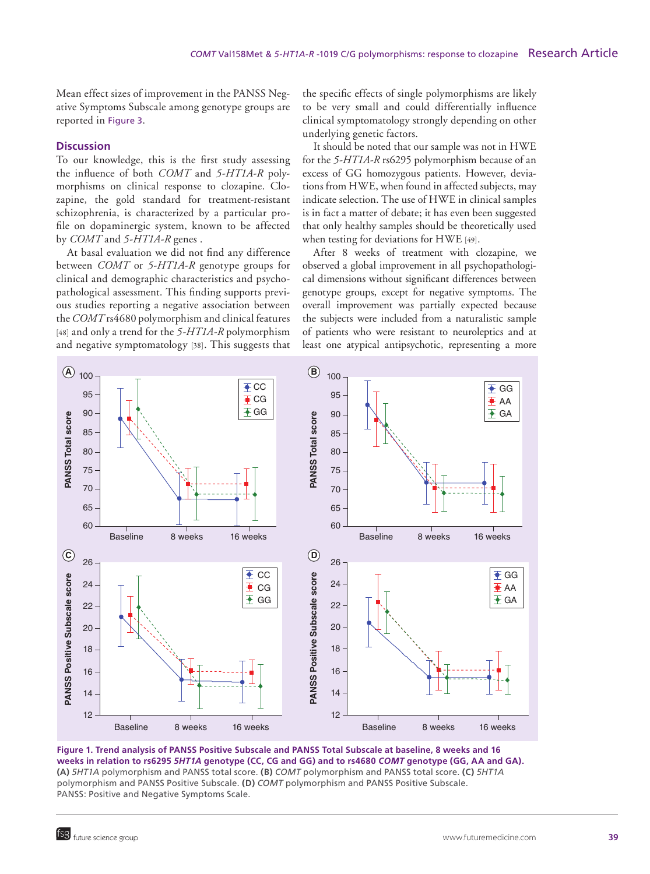Mean effect sizes of improvement in the PANSS Negative Symptoms Subscale among genotype groups are reported in Figure 3.

#### **Discussion**

To our knowledge, this is the first study assessing the influence of both *COMT* and *5-HT1A-R* polymorphisms on clinical response to clozapine. Clozapine, the gold standard for treatment-resistant schizophrenia, is characterized by a particular profile on dopaminergic system, known to be affected by *COMT* and *5-HT1A-R* genes .

At basal evaluation we did not find any difference between *COMT* or *5-HT1A-R* genotype groups for clinical and demographic characteristics and psychopathological assessment. This finding supports previous studies reporting a negative association between the *COMT* rs4680 polymorphism and clinical features [48] and only a trend for the *5-HT1A-R* polymorphism and negative symptomatology [38]. This suggests that the specific effects of single polymorphisms are likely to be very small and could differentially influence clinical symptomatology strongly depending on other underlying genetic factors.

It should be noted that our sample was not in HWE for the *5-HT1A-R* rs6295 polymorphism because of an excess of GG homozygous patients. However, deviations from HWE, when found in affected subjects, may indicate selection. The use of HWE in clinical samples is in fact a matter of debate; it has even been suggested that only healthy samples should be theoretically used when testing for deviations for HWE [49].

After 8 weeks of treatment with clozapine, we observed a global improvement in all psychopathological dimensions without significant differences between genotype groups, except for negative symptoms. The overall improvement was partially expected because the subjects were included from a naturalistic sample of patients who were resistant to neuroleptics and at least one atypical antipsychotic, representing a more



**Figure 1. Trend analysis of PANSS Positive Subscale and PANSS Total Subscale at baseline, 8 weeks and 16 weeks in relation to rs6295** *5HT1A* **genotype (CC, CG and GG) and to rs4680** *COMT* **genotype (GG, AA and GA). (A)** *5HT1A* polymorphism and PANSS total score. **(B)** *COMT* polymorphism and PANSS total score. **(C)** *5HT1A* polymorphism and PANSS Positive Subscale. **(D)** *COMT* polymorphism and PANSS Positive Subscale. PANSS: Positive and Negative Symptoms Scale.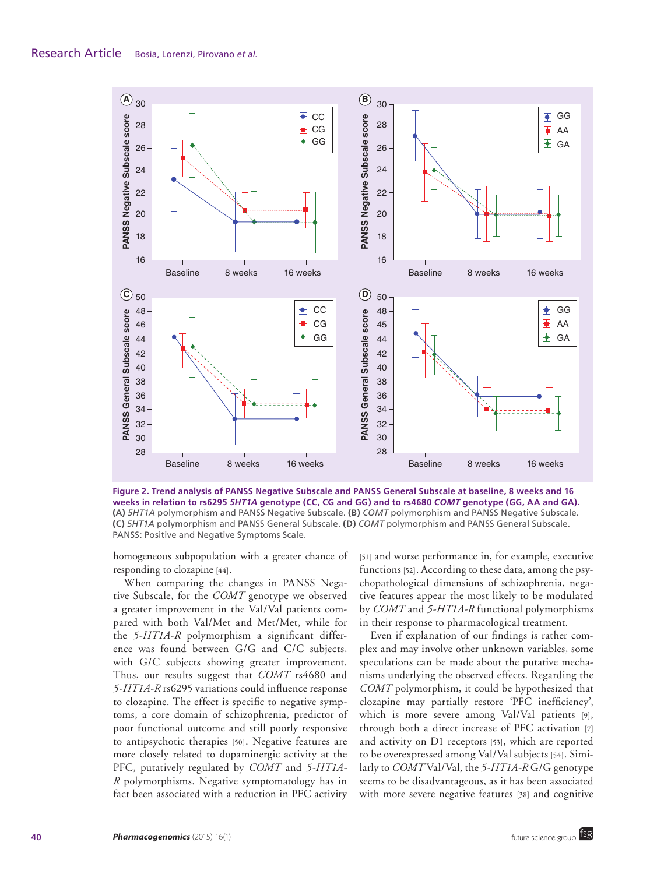

**Figure 2. Trend analysis of PANSS Negative Subscale and PANSS General Subscale at baseline, 8 weeks and 16 weeks in relation to rs6295** *5HT1A* **genotype (CC, CG and GG) and to rs4680** *COMT* **genotype (GG, AA and GA). (A)** *5HT1A* polymorphism and PANSS Negative Subscale. **(B)** *COMT* polymorphism and PANSS Negative Subscale. **(C)** *5HT1A* polymorphism and PANSS General Subscale. **(D)** *COMT* polymorphism and PANSS General Subscale. PANSS: Positive and Negative Symptoms Scale.

homogeneous subpopulation with a greater chance of responding to clozapine [44].

When comparing the changes in PANSS Negative Subscale, for the *COMT* genotype we observed a greater improvement in the Val/Val patients compared with both Val/Met and Met/Met, while for the *5-HT1A-R* polymorphism a significant difference was found between G/G and C/C subjects, with G/C subjects showing greater improvement. Thus, our results suggest that *COMT* rs4680 and *5-HT1A-R* rs6295 variations could influence response to clozapine. The effect is specific to negative symptoms, a core domain of schizophrenia, predictor of poor functional outcome and still poorly responsive to antipsychotic therapies [50]. Negative features are more closely related to dopaminergic activity at the PFC, putatively regulated by *COMT* and *5-HT1A-R* polymorphisms. Negative symptomatology has in fact been associated with a reduction in PFC activity

[51] and worse performance in, for example, executive functions [52]. According to these data, among the psychopathological dimensions of schizophrenia, negative features appear the most likely to be modulated by *COMT* and *5-HT1A-R* functional polymorphisms in their response to pharmacological treatment.

Even if explanation of our findings is rather complex and may involve other unknown variables, some speculations can be made about the putative mechanisms underlying the observed effects. Regarding the *COMT* polymorphism, it could be hypothesized that clozapine may partially restore 'PFC inefficiency', which is more severe among Val/Val patients [9], through both a direct increase of PFC activation [7] and activity on D1 receptors [53], which are reported to be overexpressed among Val/Val subjects [54]. Similarly to *COMT* Val/Val, the *5-HT1A-R* G/G genotype seems to be disadvantageous, as it has been associated with more severe negative features [38] and cognitive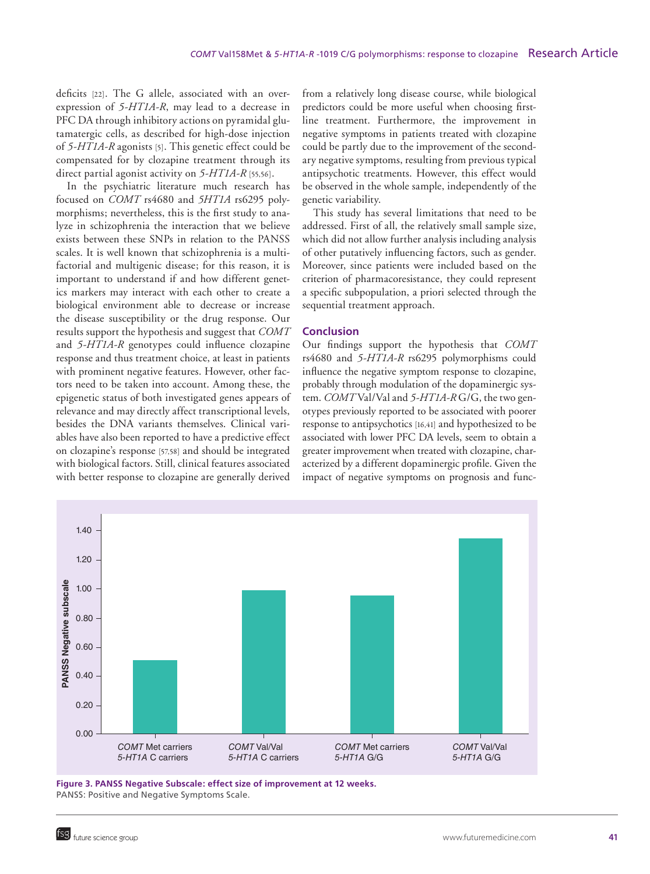deficits [22]. The G allele, associated with an overexpression of *5-HT1A-R*, may lead to a decrease in PFC DA through inhibitory actions on pyramidal glutamatergic cells, as described for high-dose injection of *5-HT1A-R* agonists [5]. This genetic effect could be compensated for by clozapine treatment through its direct partial agonist activity on *5-HT1A-R* [55,56].

In the psychiatric literature much research has focused on *COMT* rs4680 and *5HT1A* rs6295 polymorphisms; nevertheless, this is the first study to analyze in schizophrenia the interaction that we believe exists between these SNPs in relation to the PANSS scales. It is well known that schizophrenia is a multifactorial and multigenic disease; for this reason, it is important to understand if and how different genetics markers may interact with each other to create a biological environment able to decrease or increase the disease susceptibility or the drug response. Our results support the hypothesis and suggest that *COMT* and *5-HT1A-R* genotypes could influence clozapine response and thus treatment choice, at least in patients with prominent negative features. However, other factors need to be taken into account. Among these, the epigenetic status of both investigated genes appears of relevance and may directly affect transcriptional levels, besides the DNA variants themselves. Clinical variables have also been reported to have a predictive effect on clozapine's response [57,58] and should be integrated with biological factors. Still, clinical features associated with better response to clozapine are generally derived

from a relatively long disease course, while biological predictors could be more useful when choosing firstline treatment. Furthermore, the improvement in negative symptoms in patients treated with clozapine could be partly due to the improvement of the secondary negative symptoms, resulting from previous typical antipsychotic treatments. However, this effect would be observed in the whole sample, independently of the genetic variability.

This study has several limitations that need to be addressed. First of all, the relatively small sample size, which did not allow further analysis including analysis of other putatively influencing factors, such as gender. Moreover, since patients were included based on the criterion of pharmacoresistance, they could represent a specific subpopulation, a priori selected through the sequential treatment approach.

# **Conclusion**

Our findings support the hypothesis that *COMT* rs4680 and *5-HT1A-R* rs6295 polymorphisms could influence the negative symptom response to clozapine, probably through modulation of the dopaminergic system. *COMT* Val/Val and *5-HT1A-R* G/G, the two genotypes previously reported to be associated with poorer response to antipsychotics [16,41] and hypothesized to be associated with lower PFC DA levels, seem to obtain a greater improvement when treated with clozapine, characterized by a different dopaminergic profile. Given the impact of negative symptoms on prognosis and func-



**Figure 3. PANSS Negative Subscale: effect size of improvement at 12 weeks.** PANSS: Positive and Negative Symptoms Scale.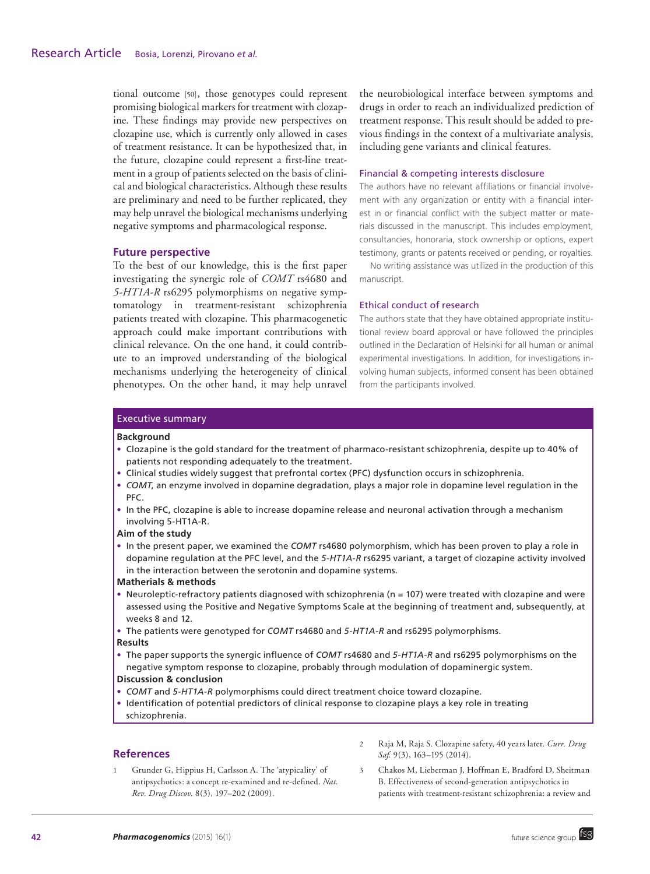tional outcome [50], those genotypes could represent promising biological markers for treatment with clozapine. These findings may provide new perspectives on clozapine use, which is currently only allowed in cases of treatment resistance. It can be hypothesized that, in the future, clozapine could represent a first-line treatment in a group of patients selected on the basis of clinical and biological characteristics. Although these results are preliminary and need to be further replicated, they may help unravel the biological mechanisms underlying negative symptoms and pharmacological response.

# **Future perspective**

To the best of our knowledge, this is the first paper investigating the synergic role of *COMT* rs4680 and *5-HT1A-R* rs6295 polymorphisms on negative symptomatology in treatment-resistant schizophrenia patients treated with clozapine. This pharmacogenetic approach could make important contributions with clinical relevance. On the one hand, it could contribute to an improved understanding of the biological mechanisms underlying the heterogeneity of clinical phenotypes. On the other hand, it may help unravel the neurobiological interface between symptoms and drugs in order to reach an individualized prediction of treatment response. This result should be added to previous findings in the context of a multivariate analysis, including gene variants and clinical features.

#### Financial & competing interests disclosure

The authors have no relevant affiliations or financial involvement with any organization or entity with a financial interest in or financial conflict with the subject matter or materials discussed in the manuscript. This includes employment, consultancies, honoraria, stock ownership or options, expert testimony, grants or patents received or pending, or royalties.

No writing assistance was utilized in the production of this manuscript.

#### Ethical conduct of research

The authors state that they have obtained appropriate institutional review board approval or have followed the principles outlined in the Declaration of Helsinki for all human or animal experimental investigations. In addition, for investigations involving human subjects, informed consent has been obtained from the participants involved.

#### Executive summary

#### **Background**

- • Clozapine is the gold standard for the treatment of pharmaco-resistant schizophrenia, despite up to 40% of patients not responding adequately to the treatment.
- • Clinical studies widely suggest that prefrontal cortex (PFC) dysfunction occurs in schizophrenia.
- • *COMT*, an enzyme involved in dopamine degradation, plays a major role in dopamine level regulation in the PFC.
- In the PFC, clozapine is able to increase dopamine release and neuronal activation through a mechanism involving 5-HT1A-R.

# **Aim of the study**

• In the present paper, we examined the *COMT* rs4680 polymorphism, which has been proven to play a role in dopamine regulation at the PFC level, and the *5-HT1A-R* rs6295 variant, a target of clozapine activity involved in the interaction between the serotonin and dopamine systems.

#### **Matherials & methods**

- Neuroleptic-refractory patients diagnosed with schizophrenia (n = 107) were treated with clozapine and were assessed using the Positive and Negative Symptoms Scale at the beginning of treatment and, subsequently, at weeks 8 and 12.
- • The patients were genotyped for *COMT* rs4680 and *5-HT1A-R* and rs6295 polymorphisms.

#### **Results**

• The paper supports the synergic influence of *COMT* rs4680 and *5-HT1A-R* and rs6295 polymorphisms on the negative symptom response to clozapine, probably through modulation of dopaminergic system. **Discussion & conclusion**

# • *COMT* and *5-HT1A-R* polymorphisms could direct treatment choice toward clozapine.

• Identification of potential predictors of clinical response to clozapine plays a key role in treating schizophrenia.

#### **References**

- 1 Grunder G, Hippius H, Carlsson A. The 'atypicality' of antipsychotics: a concept re-examined and re-defined. *Nat. Rev. Drug Discov.* 8(3), 197–202 (2009).
- 2 Raja M, Raja S. Clozapine safety, 40 years later. *Curr. Drug Saf.* 9(3), 163–195 (2014).
- 3 Chakos M, Lieberman J, Hoffman E, Bradford D, Sheitman B. Effectiveness of second-generation antipsychotics in patients with treatment-resistant schizophrenia: a review and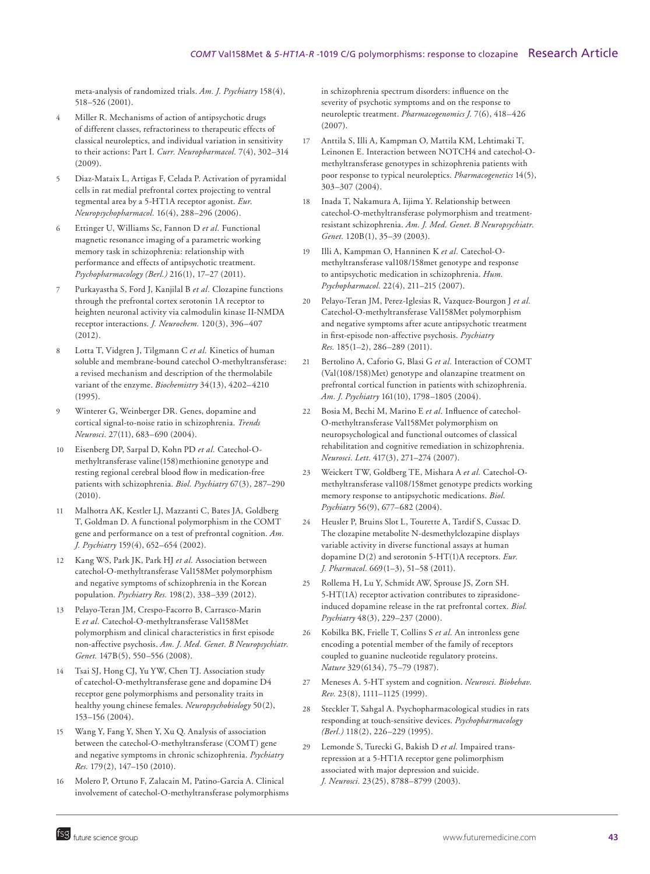meta-analysis of randomized trials. *Am. J. Psychiatry* 158(4), 518–526 (2001).

- 4 Miller R. Mechanisms of action of antipsychotic drugs of different classes, refractoriness to therapeutic effects of classical neuroleptics, and individual variation in sensitivity to their actions: Part I. *Curr. Neuropharmacol.* 7(4), 302–314 (2009).
- 5 Diaz-Mataix L, Artigas F, Celada P. Activation of pyramidal cells in rat medial prefrontal cortex projecting to ventral tegmental area by a 5-HT1A receptor agonist. *Eur. Neuropsychopharmacol.* 16(4), 288–296 (2006).
- 6 Ettinger U, Williams Sc, Fannon D *et al.* Functional magnetic resonance imaging of a parametric working memory task in schizophrenia: relationship with performance and effects of antipsychotic treatment. *Psychopharmacology (Berl.)* 216(1), 17–27 (2011).
- 7 Purkayastha S, Ford J, Kanjilal B *et al.* Clozapine functions through the prefrontal cortex serotonin 1A receptor to heighten neuronal activity via calmodulin kinase II-NMDA receptor interactions. *J. Neurochem.* 120(3), 396–407 (2012).
- 8 Lotta T, Vidgren J, Tilgmann C *et al.* Kinetics of human soluble and membrane-bound catechol O-methyltransferase: a revised mechanism and description of the thermolabile variant of the enzyme. *Biochemistry* 34(13), 4202–4210 (1995).
- Winterer G, Weinberger DR. Genes, dopamine and cortical signal-to-noise ratio in schizophrenia. *Trends Neurosci.* 27(11), 683–690 (2004).
- 10 Eisenberg DP, Sarpal D, Kohn PD *et al.* Catechol-Omethyltransferase valine(158)methionine genotype and resting regional cerebral blood flow in medication-free patients with schizophrenia. *Biol. Psychiatry* 67(3), 287–290 (2010).
- 11 Malhotra AK, Kestler LJ, Mazzanti C, Bates JA, Goldberg T, Goldman D. A functional polymorphism in the COMT gene and performance on a test of prefrontal cognition. *Am. J. Psychiatry* 159(4), 652–654 (2002).
- 12 Kang WS, Park JK, Park HJ *et al.* Association between catechol-O-methyltransferase Val158Met polymorphism and negative symptoms of schizophrenia in the Korean population. *Psychiatry Res.* 198(2), 338–339 (2012).
- 13 Pelayo-Teran JM, Crespo-Facorro B, Carrasco-Marin E *et al.* Catechol-O-methyltransferase Val158Met polymorphism and clinical characteristics in first episode non-affective psychosis. *Am. J. Med. Genet. B Neuropsychiatr. Genet.* 147B(5), 550–556 (2008).
- 14 Tsai SJ, Hong CJ, Yu YW, Chen TJ. Association study of catechol-O-methyltransferase gene and dopamine D4 receptor gene polymorphisms and personality traits in healthy young chinese females. *Neuropsychobiology* 50(2), 153–156 (2004).
- 15 Wang Y, Fang Y, Shen Y, Xu Q. Analysis of association between the catechol-O-methyltransferase (COMT) gene and negative symptoms in chronic schizophrenia. *Psychiatry Res.* 179(2), 147–150 (2010).
- 16 Molero P, Ortuno F, Zalacain M, Patino-Garcia A. Clinical involvement of catechol-O-methyltransferase polymorphisms

in schizophrenia spectrum disorders: influence on the severity of psychotic symptoms and on the response to neuroleptic treatment. *Pharmacogenomics J.* 7(6), 418–426 (2007).

- 17 Anttila S, Illi A, Kampman O, Mattila KM, Lehtimaki T, Leinonen E. Interaction between NOTCH4 and catechol-Omethyltransferase genotypes in schizophrenia patients with poor response to typical neuroleptics. *Pharmacogenetics* 14(5), 303–307 (2004).
- 18 Inada T, Nakamura A, Iijima Y. Relationship between catechol-O-methyltransferase polymorphism and treatmentresistant schizophrenia. *Am. J. Med. Genet. B Neuropsychiatr. Genet.* 120B(1), 35–39 (2003).
- 19 Illi A, Kampman O, Hanninen K *et al.* Catechol-Omethyltransferase val108/158met genotype and response to antipsychotic medication in schizophrenia. *Hum. Psychopharmacol.* 22(4), 211–215 (2007).
- 20 Pelayo-Teran JM, Perez-Iglesias R, Vazquez-Bourgon J *et al.* Catechol-O-methyltransferase Val158Met polymorphism and negative symptoms after acute antipsychotic treatment in first-episode non-affective psychosis. *Psychiatry Res.* 185(1–2), 286–289 (2011).
- 21 Bertolino A, Caforio G, Blasi G *et al.* Interaction of COMT (Val(108/158)Met) genotype and olanzapine treatment on prefrontal cortical function in patients with schizophrenia. *Am. J. Psychiatry* 161(10), 1798–1805 (2004).
- 22 Bosia M, Bechi M, Marino E *et al.* Influence of catechol-O-methyltransferase Val158Met polymorphism on neuropsychological and functional outcomes of classical rehabilitation and cognitive remediation in schizophrenia. *Neurosci. Lett.* 417(3), 271–274 (2007).
- 23 Weickert TW, Goldberg TE, Mishara A *et al.* Catechol-Omethyltransferase val108/158met genotype predicts working memory response to antipsychotic medications. *Biol. Psychiatry* 56(9), 677–682 (2004).
- 24 Heusler P, Bruins Slot L, Tourette A, Tardif S, Cussac D. The clozapine metabolite N-desmethylclozapine displays variable activity in diverse functional assays at human dopamine D(2) and serotonin 5-HT(1)A receptors. *Eur. J. Pharmacol.* 669(1–3), 51–58 (2011).
- 25 Rollema H, Lu Y, Schmidt AW, Sprouse JS, Zorn SH. 5-HT(1A) receptor activation contributes to ziprasidoneinduced dopamine release in the rat prefrontal cortex. *Biol. Psychiatry* 48(3), 229–237 (2000).
- 26 Kobilka BK, Frielle T, Collins S *et al.* An intronless gene encoding a potential member of the family of receptors coupled to guanine nucleotide regulatory proteins. *Nature* 329(6134), 75–79 (1987).
- 27 Meneses A. 5-HT system and cognition. *Neurosci. Biobehav. Rev.* 23(8), 1111–1125 (1999).
- 28 Steckler T, Sahgal A. Psychopharmacological studies in rats responding at touch-sensitive devices. *Psychopharmacology (Berl.)* 118(2), 226–229 (1995).
- 29 Lemonde S, Turecki G, Bakish D *et al.* Impaired transrepression at a 5-HT1A receptor gene polimorphism associated with major depression and suicide. *J. Neurosci.* 23(25), 8788–8799 (2003).